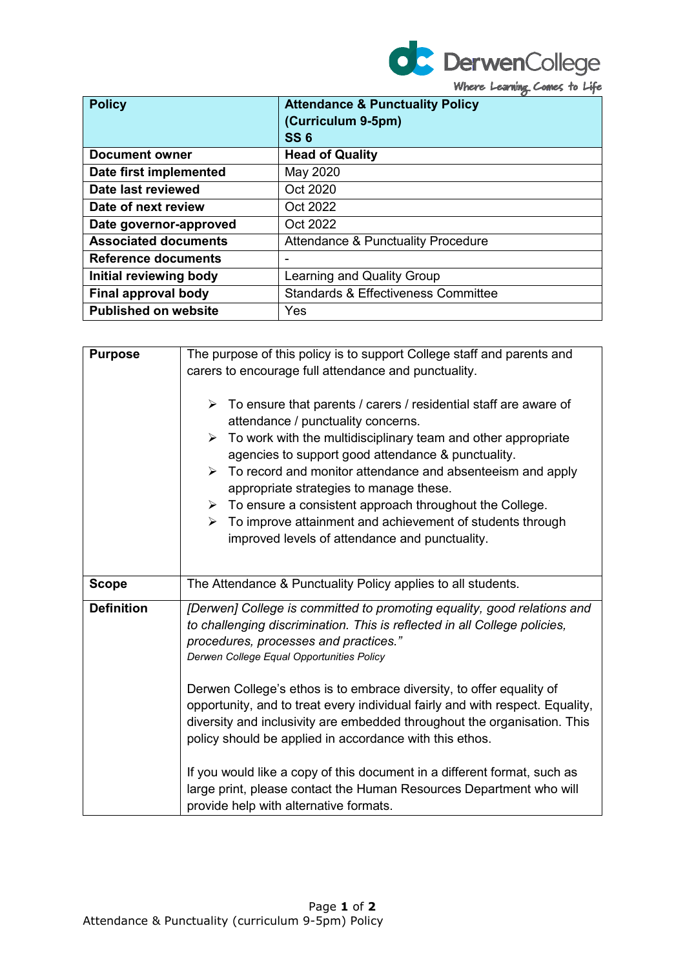

Where Learning Comes to Life

| <b>Policy</b>               | <b>Attendance &amp; Punctuality Policy</b><br>(Curriculum 9-5pm)<br><b>SS6</b> |
|-----------------------------|--------------------------------------------------------------------------------|
| <b>Document owner</b>       | <b>Head of Quality</b>                                                         |
| Date first implemented      | May 2020                                                                       |
| Date last reviewed          | Oct 2020                                                                       |
| Date of next review         | Oct 2022                                                                       |
| Date governor-approved      | Oct 2022                                                                       |
| <b>Associated documents</b> | <b>Attendance &amp; Punctuality Procedure</b>                                  |
| Reference documents         |                                                                                |
| Initial reviewing body      | Learning and Quality Group                                                     |
| Final approval body         | <b>Standards &amp; Effectiveness Committee</b>                                 |
| <b>Published on website</b> | Yes                                                                            |

| <b>Purpose</b>    | The purpose of this policy is to support College staff and parents and<br>carers to encourage full attendance and punctuality.<br>$\triangleright$ To ensure that parents / carers / residential staff are aware of<br>attendance / punctuality concerns.                                    |
|-------------------|----------------------------------------------------------------------------------------------------------------------------------------------------------------------------------------------------------------------------------------------------------------------------------------------|
|                   | $\triangleright$ To work with the multidisciplinary team and other appropriate<br>agencies to support good attendance & punctuality.<br>$\triangleright$ To record and monitor attendance and absenteeism and apply<br>appropriate strategies to manage these.                               |
|                   | $\triangleright$ To ensure a consistent approach throughout the College.<br>$\triangleright$ To improve attainment and achievement of students through<br>improved levels of attendance and punctuality.                                                                                     |
| <b>Scope</b>      | The Attendance & Punctuality Policy applies to all students.                                                                                                                                                                                                                                 |
| <b>Definition</b> | [Derwen] College is committed to promoting equality, good relations and<br>to challenging discrimination. This is reflected in all College policies,<br>procedures, processes and practices."<br>Derwen College Equal Opportunities Policy                                                   |
|                   | Derwen College's ethos is to embrace diversity, to offer equality of<br>opportunity, and to treat every individual fairly and with respect. Equality,<br>diversity and inclusivity are embedded throughout the organisation. This<br>policy should be applied in accordance with this ethos. |
|                   | If you would like a copy of this document in a different format, such as<br>large print, please contact the Human Resources Department who will<br>provide help with alternative formats.                                                                                                    |